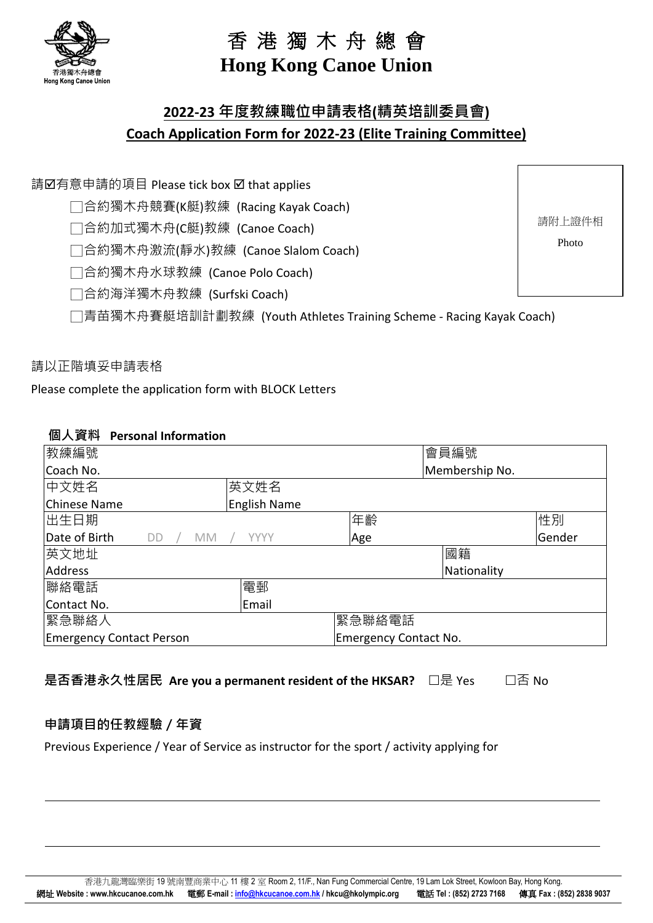

# **Hong Kong Canoe Union**

# **2022-23 年度教練職位申請表格(精英培訓委員會) Coach Application Form for 2022-23 (Elite Training Committee)**

請Ø有意申請的項目 Please tick box Ø that applies

□合約獨木舟競賽(K艇)教練 (Racing Kayak Coach)

□合約加式獨木舟(C艇)教練 (Canoe Coach)

□合約獨木舟激流(靜水)教練 (Canoe Slalom Coach)

□合約獨木舟水球教練 (Canoe Polo Coach)

□合約海洋獨木舟教練 (Surfski Coach)

□青苗獨木舟賽艇培訓計劃教練 (Youth Athletes Training Scheme - Racing Kayak Coach)

請以正階填妥申請表格

B 洪 3男 木 61.481 € Hong Kong Canoe Union

Please complete the application form with BLOCK Letters

#### **個人資料 Personal Information**

| 教練編號                                    |                     |                              | 會員編號           |        |
|-----------------------------------------|---------------------|------------------------------|----------------|--------|
| Coach No.                               |                     |                              | Membership No. |        |
| 中文姓名                                    | 英文姓名                |                              |                |        |
| Chinese Name                            | <b>English Name</b> |                              |                |        |
| 出生日期                                    |                     | 年齡                           |                | 性別     |
| Date of Birth<br><b>DD</b><br><b>MM</b> | <b>YYYY</b>         | Age                          |                | Gender |
| 英文地址                                    |                     |                              | 國籍             |        |
| Address                                 |                     |                              | Nationality    |        |
| 聯絡電話                                    | 電郵                  |                              |                |        |
| Contact No.                             | Email               |                              |                |        |
| 緊急聯絡人                                   |                     | 緊急聯絡電話                       |                |        |
| <b>Emergency Contact Person</b>         |                     | <b>Emergency Contact No.</b> |                |        |

是否香港永久性居民 Are you a permanent resident of the HKSAR? □是 Yes □ □否 No

# **申請項目的任教經驗/年資**

Previous Experience / Year of Service as instructor for the sport / activity applying for

請附上證件相

Photo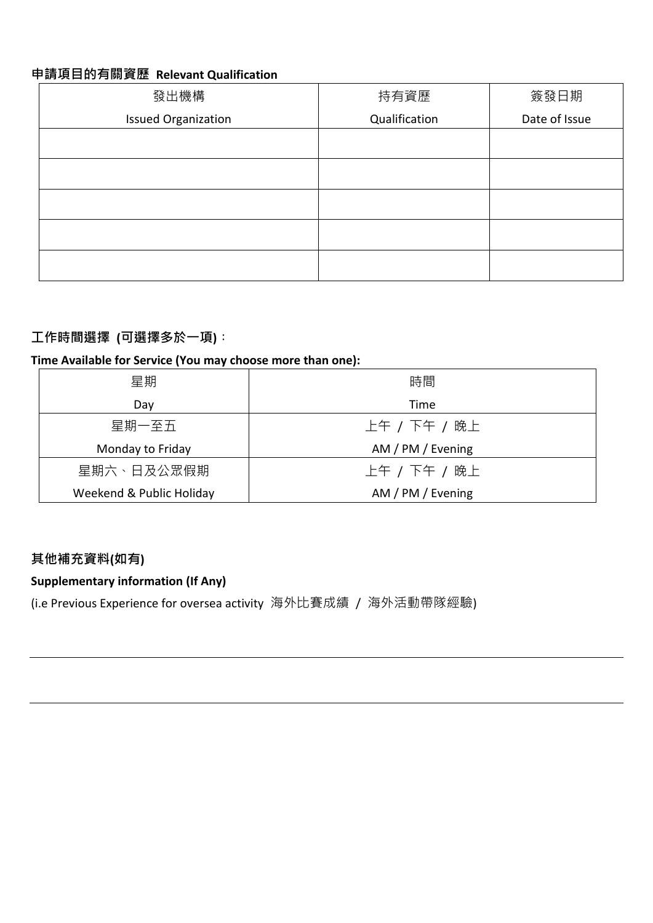#### **申請項目的有關資歷 Relevant Qualification**

| 發出機構                       | 持有資歷          | 簽發日期          |
|----------------------------|---------------|---------------|
| <b>Issued Organization</b> | Qualification | Date of Issue |
|                            |               |               |
|                            |               |               |
|                            |               |               |
|                            |               |               |
|                            |               |               |

# **工作時間選擇 (可選擇多於一項)︰**

#### **Time Available for Service (You may choose more than one):**

| 星期                       | 時間                |
|--------------------------|-------------------|
| Day                      | Time              |
| 星期一至五                    | 上午 / 下午 / 晚上      |
| Monday to Friday         | AM / PM / Evening |
| 星期六、日及公眾假期               | 上午 / 下午 / 晚上      |
| Weekend & Public Holiday | AM / PM / Evening |

# **其他補充資料(如有)**

# **Supplementary information (If Any)**

(i.e Previous Experience for oversea activity 海外比賽成績 / 海外活動帶隊經驗)